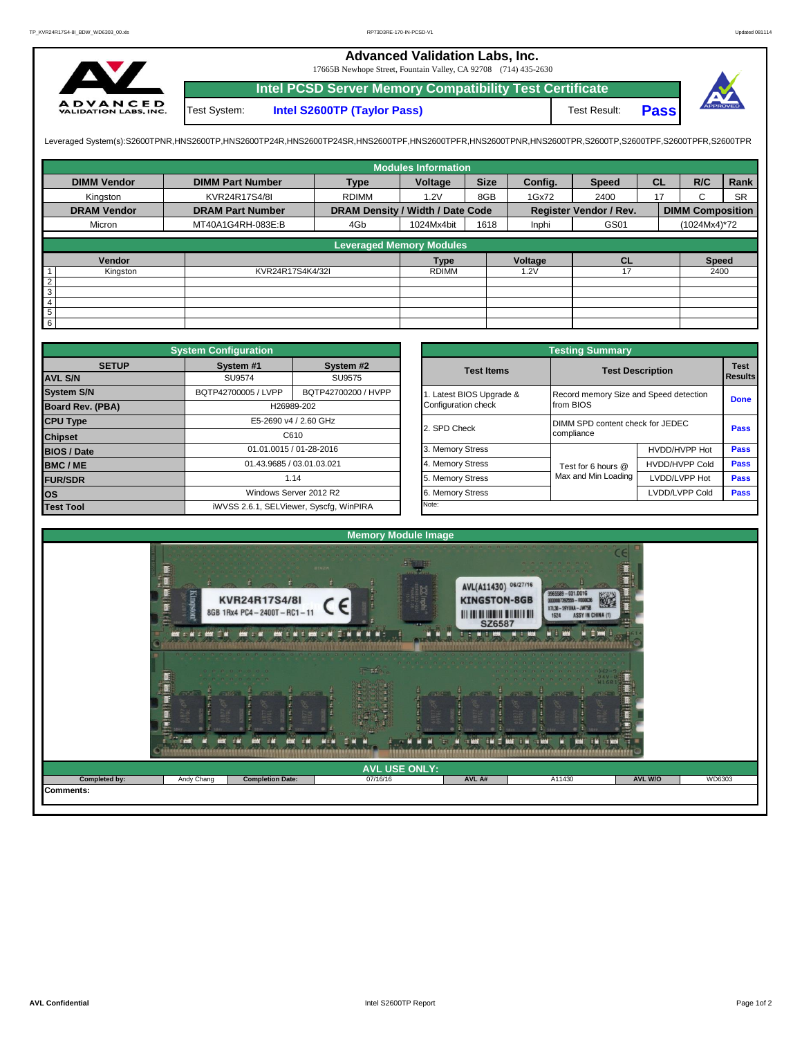## **Advanced Validation Labs, Inc.**

17665B Newhope Street, Fountain Valley, CA 92708 (714) 435-2630



**Intel PCSD Server Memory Compatibility Test Certificate Pass** Test System: **Intel S2600TP (Taylor Pass)** Test Result:

Leveraged System(s):S2600TPNR,HNS2600TP,HNS2600TP24R,HNS2600TP24SR,HNS2600TPF,HNS2600TPRR,HNS2600TPR,S2600TPR,S2600TPR,S2600TPR,S2600TPR,S2600TPFR,S2600TPFR,

|                    |                         |                                  | <b>Modules Information</b> |             |         |                               |           |                         |           |
|--------------------|-------------------------|----------------------------------|----------------------------|-------------|---------|-------------------------------|-----------|-------------------------|-----------|
| <b>DIMM Vendor</b> | <b>DIMM Part Number</b> | <b>Type</b>                      | Voltage                    | <b>Size</b> | Config. | <b>Speed</b>                  | <b>CL</b> | R/C                     | Rank      |
| Kingston           | KVR24R17S4/8I           | <b>RDIMM</b>                     | 1.2V                       | 8GB         | 1Gx72   | 2400                          | 17        | C                       | <b>SR</b> |
| <b>DRAM Vendor</b> | <b>DRAM Part Number</b> | DRAM Density / Width / Date Code |                            |             |         | <b>Register Vendor / Rev.</b> |           | <b>DIMM Composition</b> |           |
| Micron             | MT40A1G4RH-083E:B       | 4Gb                              | 1024Mx4bit                 | 1618        | Inphi   | GS01                          |           | (1024Mx4)*72            |           |
|                    |                         | <b>Leveraged Memory Modules</b>  |                            |             |         |                               |           |                         |           |
|                    |                         |                                  |                            |             |         |                               |           |                         |           |
| Vendor             |                         |                                  | <b>Type</b>                |             | Voltage | <b>CL</b>                     |           | <b>Speed</b>            |           |
| Kingston           | KVR24R17S4K4/32I        |                                  | <b>RDIMM</b>               |             | 1.2V    | 17                            |           | 2400                    |           |
| $\overline{2}$     |                         |                                  |                            |             |         |                               |           |                         |           |
| $\overline{3}$     |                         |                                  |                            |             |         |                               |           |                         |           |
| $\overline{4}$     |                         |                                  |                            |             |         |                               |           |                         |           |
| $5\phantom{.0}$    |                         |                                  |                            |             |         |                               |           |                         |           |
| $6\overline{6}$    |                         |                                  |                            |             |         |                               |           |                         |           |

|                    |                                                                                                                                                                                                                                        |                                         |                   |                       | <b>Testing Summary</b>                 |                       |             |  |
|--------------------|----------------------------------------------------------------------------------------------------------------------------------------------------------------------------------------------------------------------------------------|-----------------------------------------|-------------------|-----------------------|----------------------------------------|-----------------------|-------------|--|
| <b>SETUP</b>       | <b>System Configuration</b><br>System #1<br>System #2<br>SU9574<br>SU9575<br>BQTP42700005 / LVPP<br>BQTP42700200 / HVPP<br>H26989-202<br>E5-2690 v4 / 2.60 GHz<br>C610<br>01.01.0015 / 01-28-2016<br>01.43.9685 / 03.01.03.021<br>1.14 |                                         | <b>Test Items</b> |                       | <b>Test Description</b>                |                       |             |  |
| <b>AVL S/N</b>     |                                                                                                                                                                                                                                        |                                         |                   |                       |                                        |                       | Results     |  |
| <b>System S/N</b>  |                                                                                                                                                                                                                                        |                                         |                   | Latest BIOS Upgrade & | Record memory Size and Speed detection |                       | <b>Done</b> |  |
| Board Rev. (PBA)   |                                                                                                                                                                                                                                        |                                         |                   | Configuration check   | from BIOS                              |                       |             |  |
| <b>CPU Type</b>    |                                                                                                                                                                                                                                        |                                         |                   | 2. SPD Check          | DIMM SPD content check for JEDEC       |                       | <b>Pass</b> |  |
| <b>Chipset</b>     |                                                                                                                                                                                                                                        |                                         |                   |                       | compliance                             |                       |             |  |
| <b>BIOS / Date</b> |                                                                                                                                                                                                                                        |                                         |                   | 3. Memory Stress      |                                        | HVDD/HVPP Hot         | <b>Pass</b> |  |
| <b>BMC/ME</b>      |                                                                                                                                                                                                                                        |                                         |                   | 4. Memory Stress      | Test for 6 hours @                     | <b>HVDD/HVPP Cold</b> | Pass        |  |
| <b>FUR/SDR</b>     |                                                                                                                                                                                                                                        |                                         |                   | 5. Memory Stress      | Max and Min Loading                    | LVDD/LVPP Hot         | <b>Pass</b> |  |
| <b>los</b>         |                                                                                                                                                                                                                                        | Windows Server 2012 R2                  |                   | 6. Memory Stress      |                                        | LVDD/LVPP Cold        | Pass        |  |
| <b>Test Tool</b>   |                                                                                                                                                                                                                                        | iWVSS 2.6.1, SELViewer, Syscfg, WinPIRA |                   | Note:                 |                                        |                       |             |  |

|              | <b>System Configuration</b>             |                         |                       | <b>Testing Summary</b>                 |                       |                |  |  |  |
|--------------|-----------------------------------------|-------------------------|-----------------------|----------------------------------------|-----------------------|----------------|--|--|--|
| <b>SETUP</b> | System #1                               | System #2               | <b>Test Items</b>     | <b>Test Description</b>                |                       |                |  |  |  |
|              | SU9574                                  | SU9575                  |                       |                                        |                       | <b>Results</b> |  |  |  |
|              | BQTP42700005 / LVPP                     | BQTP42700200 / HVPP     | Latest BIOS Upgrade & | Record memory Size and Speed detection |                       |                |  |  |  |
| PBA)         |                                         | H26989-202              | Configuration check   | from BIOS                              |                       | <b>Done</b>    |  |  |  |
|              |                                         | E5-2690 v4 / 2.60 GHz   | 2. SPD Check          | DIMM SPD content check for JEDEC       |                       |                |  |  |  |
|              |                                         | C610                    |                       | compliance                             |                       |                |  |  |  |
|              |                                         | 01.01.0015 / 01-28-2016 | 3. Memory Stress      |                                        | HVDD/HVPP Hot         | Pass           |  |  |  |
|              | 01.43.9685 / 03.01.03.021               |                         | 4. Memory Stress      | Test for 6 hours @                     | <b>HVDD/HVPP Cold</b> | Pass           |  |  |  |
|              |                                         | 1.14                    | 5. Memory Stress      | Max and Min Loading                    | LVDD/LVPP Hot         | <b>Pass</b>    |  |  |  |
|              |                                         | Windows Server 2012 R2  | 6. Memory Stress      |                                        | LVDD/LVPP Cold        | <b>Pass</b>    |  |  |  |
|              | iWVSS 2.6.1, SELViewer, Syscfg, WinPIRA |                         | Note:                 |                                        |                       |                |  |  |  |